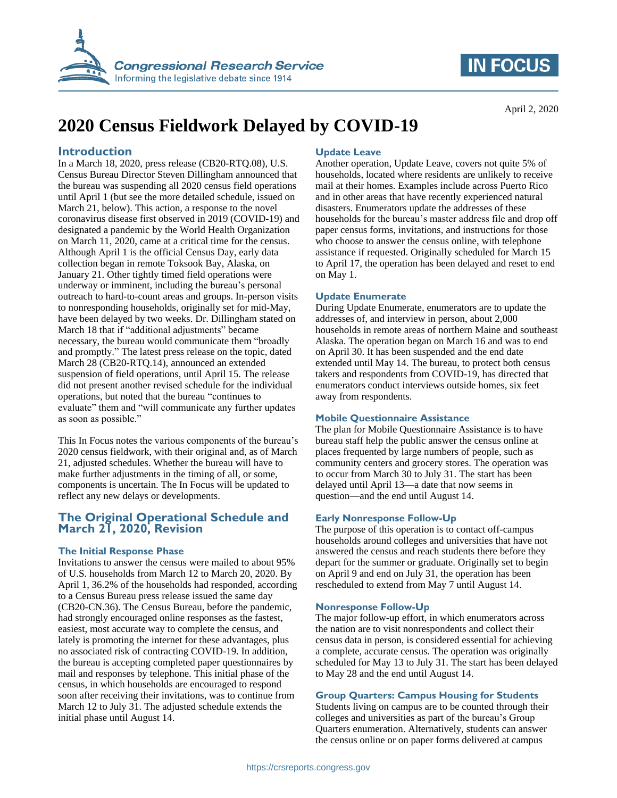

# **IN FOCUS**

April 2, 2020

# **2020 Census Fieldwork Delayed by COVID-19**

## **Introduction**

In a March 18, 2020, press release (CB20-RTQ.08), U.S. Census Bureau Director Steven Dillingham announced that the bureau was suspending all 2020 census field operations until April 1 (but see the more detailed schedule, issued on March 21, below). This action, a response to the novel coronavirus disease first observed in 2019 (COVID-19) and designated a pandemic by the World Health Organization on March 11, 2020, came at a critical time for the census. Although April 1 is the official Census Day, early data collection began in remote Toksook Bay, Alaska, on January 21. Other tightly timed field operations were underway or imminent, including the bureau's personal outreach to hard-to-count areas and groups. In-person visits to nonresponding households, originally set for mid-May, have been delayed by two weeks. Dr. Dillingham stated on March 18 that if "additional adjustments" became necessary, the bureau would communicate them "broadly and promptly." The latest press release on the topic, dated March 28 (CB20-RTQ.14), announced an extended suspension of field operations, until April 15. The release did not present another revised schedule for the individual operations, but noted that the bureau "continues to evaluate" them and "will communicate any further updates as soon as possible."

This In Focus notes the various components of the bureau's 2020 census fieldwork, with their original and, as of March 21, adjusted schedules. Whether the bureau will have to make further adjustments in the timing of all, or some, components is uncertain. The In Focus will be updated to reflect any new delays or developments.

# **The Original Operational Schedule and March 21, 2020, Revision**

#### **The Initial Response Phase**

Invitations to answer the census were mailed to about 95% of U.S. households from March 12 to March 20, 2020. By April 1, 36.2% of the households had responded, according to a Census Bureau press release issued the same day (CB20-CN.36). The Census Bureau, before the pandemic, had strongly encouraged online responses as the fastest, easiest, most accurate way to complete the census, and lately is promoting the internet for these advantages, plus no associated risk of contracting COVID-19. In addition, the bureau is accepting completed paper questionnaires by mail and responses by telephone. This initial phase of the census, in which households are encouraged to respond soon after receiving their invitations, was to continue from March 12 to July 31. The adjusted schedule extends the initial phase until August 14.

### **Update Leave**

Another operation, Update Leave, covers not quite 5% of households, located where residents are unlikely to receive mail at their homes. Examples include across Puerto Rico and in other areas that have recently experienced natural disasters. Enumerators update the addresses of these households for the bureau's master address file and drop off paper census forms, invitations, and instructions for those who choose to answer the census online, with telephone assistance if requested. Originally scheduled for March 15 to April 17, the operation has been delayed and reset to end on May 1.

#### **Update Enumerate**

During Update Enumerate, enumerators are to update the addresses of, and interview in person, about 2,000 households in remote areas of northern Maine and southeast Alaska. The operation began on March 16 and was to end on April 30. It has been suspended and the end date extended until May 14. The bureau, to protect both census takers and respondents from COVID-19, has directed that enumerators conduct interviews outside homes, six feet away from respondents.

#### **Mobile Questionnaire Assistance**

The plan for Mobile Questionnaire Assistance is to have bureau staff help the public answer the census online at places frequented by large numbers of people, such as community centers and grocery stores. The operation was to occur from March 30 to July 31. The start has been delayed until April 13—a date that now seems in question—and the end until August 14.

#### **Early Nonresponse Follow-Up**

The purpose of this operation is to contact off-campus households around colleges and universities that have not answered the census and reach students there before they depart for the summer or graduate. Originally set to begin on April 9 and end on July 31, the operation has been rescheduled to extend from May 7 until August 14.

#### **Nonresponse Follow-Up**

The major follow-up effort, in which enumerators across the nation are to visit nonrespondents and collect their census data in person, is considered essential for achieving a complete, accurate census. The operation was originally scheduled for May 13 to July 31. The start has been delayed to May 28 and the end until August 14.

#### **Group Quarters: Campus Housing for Students**

Students living on campus are to be counted through their colleges and universities as part of the bureau's Group Quarters enumeration. Alternatively, students can answer the census online or on paper forms delivered at campus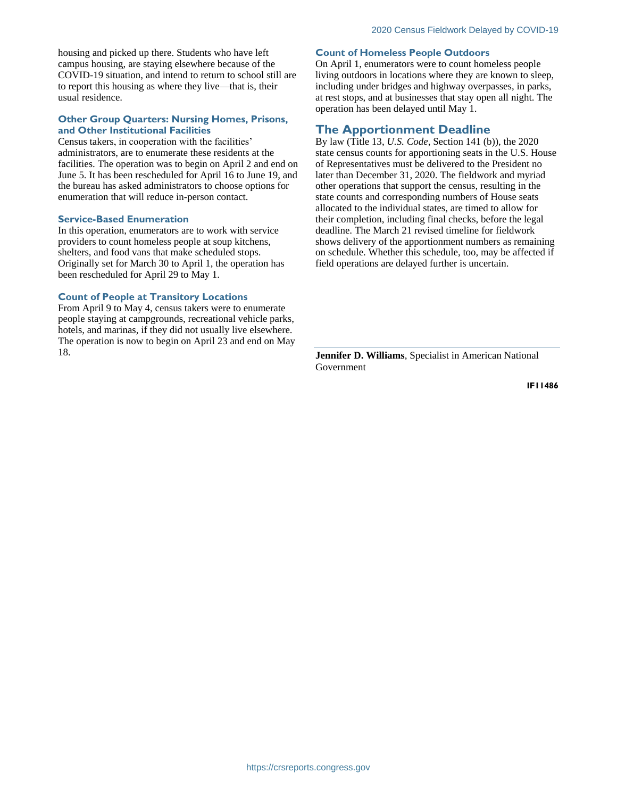housing and picked up there. Students who have left campus housing, are staying elsewhere because of the COVID-19 situation, and intend to return to school still are to report this housing as where they live—that is, their usual residence.

#### **Other Group Quarters: Nursing Homes, Prisons, and Other Institutional Facilities**

Census takers, in cooperation with the facilities' administrators, are to enumerate these residents at the facilities. The operation was to begin on April 2 and end on June 5. It has been rescheduled for April 16 to June 19, and the bureau has asked administrators to choose options for enumeration that will reduce in-person contact.

#### **Service-Based Enumeration**

In this operation, enumerators are to work with service providers to count homeless people at soup kitchens, shelters, and food vans that make scheduled stops. Originally set for March 30 to April 1, the operation has been rescheduled for April 29 to May 1.

#### **Count of People at Transitory Locations**

From April 9 to May 4, census takers were to enumerate people staying at campgrounds, recreational vehicle parks, hotels, and marinas, if they did not usually live elsewhere. The operation is now to begin on April 23 and end on May 18.

#### **Count of Homeless People Outdoors**

On April 1, enumerators were to count homeless people living outdoors in locations where they are known to sleep, including under bridges and highway overpasses, in parks, at rest stops, and at businesses that stay open all night. The operation has been delayed until May 1.

### **The Apportionment Deadline**

By law (Title 13, *U.S. Code*, Section 141 (b)), the 2020 state census counts for apportioning seats in the U.S. House of Representatives must be delivered to the President no later than December 31, 2020. The fieldwork and myriad other operations that support the census, resulting in the state counts and corresponding numbers of House seats allocated to the individual states, are timed to allow for their completion, including final checks, before the legal deadline. The March 21 revised timeline for fieldwork shows delivery of the apportionment numbers as remaining on schedule. Whether this schedule, too, may be affected if field operations are delayed further is uncertain.

**Jennifer D. Williams**, Specialist in American National Government

**IF11486**